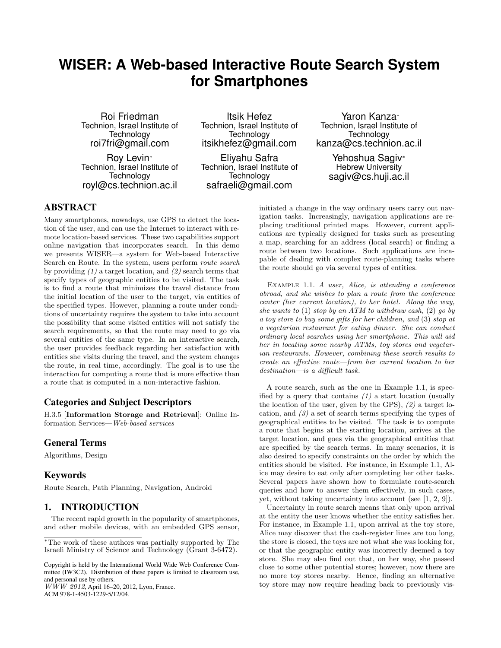# **WISER: A Web-based Interactive Route Search System for Smartphones**

Roi Friedman Technion, Israel Institute of **Technology** roi7fri@gmail.com

Roy Levin<sup>∗</sup> Technion, Israel Institute of **Technology** royl@cs.technion.ac.il

Itsik Hefez Technion, Israel Institute of **Technology** itsikhefez@gmail.com

Eliyahu Safra Technion, Israel Institute of **Technology** safraeli@gmail.com

Yaron Kanza<sup>∗</sup> Technion, Israel Institute of **Technology** kanza@cs.technion.ac.il

> Yehoshua Sagiv<sup>∗</sup> Hebrew University sagiv@cs.huji.ac.il

initiated a change in the way ordinary users carry out navigation tasks. Increasingly, navigation applications are replacing traditional printed maps. However, current applications are typically designed for tasks such as presenting a map, searching for an address (local search) or finding a route between two locations. Such applications are incapable of dealing with complex route-planning tasks where

# ABSTRACT

Many smartphones, nowadays, use GPS to detect the location of the user, and can use the Internet to interact with remote location-based services. These two capabilities support online navigation that incorporates search. In this demo we presents WISER—a system for Web-based Interactive Search en Route. In the system, users perform route search by providing  $(1)$  a target location, and  $(2)$  search terms that specify types of geographic entities to be visited. The task is to find a route that minimizes the travel distance from the initial location of the user to the target, via entities of the specified types. However, planning a route under conditions of uncertainty requires the system to take into account the possibility that some visited entities will not satisfy the search requirements, so that the route may need to go via several entities of the same type. In an interactive search, the user provides feedback regarding her satisfaction with entities she visits during the travel, and the system changes the route, in real time, accordingly. The goal is to use the interaction for computing a route that is more effective than a route that is computed in a non-interactive fashion.

#### Categories and Subject Descriptors

H.3.5 [Information Storage and Retrieval]: Online Information Services—Web-based services

### General Terms

Algorithms, Design

#### Keywords

Route Search, Path Planning, Navigation, Android

#### 1. INTRODUCTION

The recent rapid growth in the popularity of smartphones, and other mobile devices, with an embedded GPS sensor,

Copyright is held by the International World Wide Web Conference Committee (IW3C2). Distribution of these papers is limited to classroom use, and personal use by others.

WWW 2012, April 16–20, 2012, Lyon, France. ACM 978-1-4503-1229-5/12/04.

the route should go via several types of entities. EXAMPLE 1.1. A user, Alice, is attending a conference abroad, and she wishes to plan a route from the conference center (her current location), to her hotel. Along the way, she wants to (1) stop by an ATM to withdraw cash, (2) go by a toy store to buy some gifts for her children, and (3) stop at a vegetarian restaurant for eating dinner. She can conduct ordinary local searches using her smartphone. This will aid her in locating some nearby ATMs, toy stores and vegetarian restaurants. However, combining these search results to create an effective route—from her current location to her

destination—is a difficult task.

A route search, such as the one in Example 1.1, is specified by a query that contains  $(1)$  a start location (usually the location of the user, given by the GPS),  $(2)$  a target location, and  $(3)$  a set of search terms specifying the types of geographical entities to be visited. The task is to compute a route that begins at the starting location, arrives at the target location, and goes via the geographical entities that are specified by the search terms. In many scenarios, it is also desired to specify constraints on the order by which the entities should be visited. For instance, in Example 1.1, Alice may desire to eat only after completing her other tasks. Several papers have shown how to formulate route-search queries and how to answer them effectively, in such cases, yet, without taking uncertainty into account (see [1, 2, 9]).

Uncertainty in route search means that only upon arrival at the entity the user knows whether the entity satisfies her. For instance, in Example 1.1, upon arrival at the toy store, Alice may discover that the cash-register lines are too long, the store is closed, the toys are not what she was looking for, or that the geographic entity was incorrectly deemed a toy store. She may also find out that, on her way, she passed close to some other potential stores; however, now there are no more toy stores nearby. Hence, finding an alternative toy store may now require heading back to previously vis-

<sup>∗</sup>The work of these authors was partially supported by The Israeli Ministry of Science and Technology (Grant 3-6472).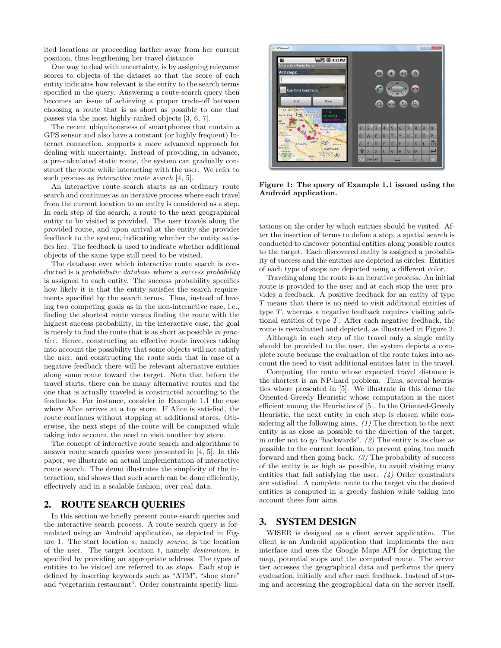ited locations or proceeding farther away from her current position, thus lengthening her travel distance.

One way to deal with uncertainty, is by assigning relevance scores to objects of the dataset so that the score of each entity indicates how relevant is the entity to the search terms specified in the query. Answering a route-search query then becomes an issue of achieving a proper trade-off between choosing a route that is as short as possible to one that passes via the most highly-ranked objects [3, 6, 7].

The recent ubiquitousness of smartphones that contain a GPS sensor and also have a constant (or highly frequent) Internet connection, supports a more advanced approach for dealing with uncertainty. Instead of providing, in advance, a pre-calculated static route, the system can gradually construct the route while interacting with the user. We refer to such process as *interactive route search* [4, 5].

An interactive route search starts as an ordinary route search and continues as an iterative process where each travel from the current location to an entity is considered as a step. In each step of the search, a route to the next geographical entity to be visited is provided. The user travels along the provided route, and upon arrival at the entity she provides feedback to the system, indicating whether the entity satisfies her. The feedback is used to indicate whether additional objects of the same type still need to be visited.

The database over which interactive route search is conducted is a *probabilistic database* where a *success probability* is assigned to each entity. The success probability specifies how likely it is that the entity satisfies the search requirements specified by the search terms. Thus, instead of having two competing goals as in the non-interactive case, i.e., finding the shortest route versus finding the route with the highest success probability, in the interactive case, the goal is merely to find the route that is as short as possible in practice. Hence, constructing an effective route involves taking into account the possibility that some objects will not satisfy the user, and constructing the route such that in case of a negative feedback there will be relevant alternative entities along some route toward the target. Note that before the travel starts, there can be many alternative routes and the one that is actually traveled is constructed according to the feedbacks. For instance, consider in Example 1.1 the case where Alice arrives at a toy store. If Alice is satisfied, the route continues without stopping at additional stores. Otherwise, the next steps of the route will be computed while taking into account the need to visit another toy store.

The concept of interactive route search and algorithms to answer route search queries were presented in [4, 5]. In this paper, we illustrate an actual implementation of interactive route search. The demo illustrates the simplicity of the interaction, and shows that such search can be done efficiently, effectively and in a scalable fashion, over real data.

#### 2. ROUTE SEARCH QUERIES

In this section we briefly present route-search queries and the interactive search process. A route search query is formulated using an Android application, as depicted in Figure 1. The start location s, namely source, is the location of the user. The target location  $t$ , namely *destination*, is specified by providing an appropriate address. The types of entities to be visited are referred to as stops. Each stop is defined by inserting keywords such as "ATM", "shoe store" and "vegetarian restaurant". Order constraints specify limi-



Figure 1: The query of Example 1.1 issued using the Android application.

tations on the order by which entities should be visited. After the insertion of terms to define a stop, a spatial search is conducted to discover potential entities along possible routes to the target. Each discovered entity is assigned a probability of success and the entities are depicted as circles. Entities of each type of stops are depicted using a different color.

Traveling along the route is an iterative process. An initial route is provided to the user and at each stop the user provides a feedback. A positive feedback for an entity of type  ${\cal T}$  means that there is no need to visit additional entities of type T, whereas a negative feedback requires visiting additional entities of type T. After each negative feedback, the route is reevaluated and depicted, as illustrated in Figure 2.

Although in each step of the travel only a single entity should be provided to the user, the system depicts a complete route because the evaluation of the route takes into account the need to visit additional entities later in the travel.

Computing the route whose expected travel distance is the shortest is an NP-hard problem. Thus, several heuristics where presented in [5]. We illustrate in this demo the Oriented-Greedy Heuristic whose computation is the most efficient among the Heuristics of [5]. In the Oriented-Greedy Heuristic, the next entity in each step is chosen while considering all the following aims.  $(1)$  The direction to the next entity is as close as possible to the direction of the target, in order not to go "backwards". (2) The entity is as close as possible to the current location, to prevent going too much forward and then going back. (3) The probability of success of the entity is as high as possible, to avoid visiting many entities that fail satisfying the user.  $(4)$  Order constraints are satisfied. A complete route to the target via the desired entities is computed in a greedy fashion while taking into account these four aims.

## 3. SYSTEM DESIGN

WISER is designed as a client server application. The client is an Android application that implements the user interface and uses the Google Maps API for depicting the map, potential stops and the computed route. The server tier accesses the geographical data and performs the query evaluation, initially and after each feedback. Instead of storing and accessing the geographical data on the server itself,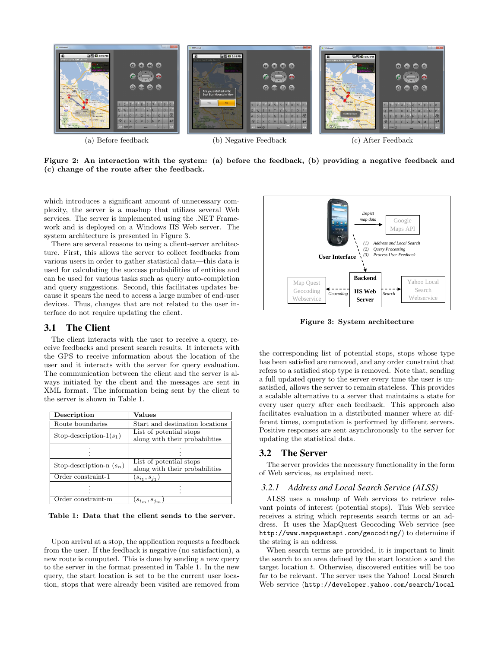

Figure 2: An interaction with the system: (a) before the feedback, (b) providing a negative feedback and (c) change of the route after the feedback.

which introduces a significant amount of unnecessary complexity, the server is a mashup that utilizes several Web services. The server is implemented using the .NET Framework and is deployed on a Windows IIS Web server. The system architecture is presented in Figure 3.

There are several reasons to using a client-server architecture. First, this allows the server to collect feedbacks from various users in order to gather statistical data—this data is used for calculating the success probabilities of entities and can be used for various tasks such as query auto-completion and query suggestions. Second, this facilitates updates because it spears the need to access a large number of end-user devices. Thus, changes that are not related to the user interface do not require updating the client.

#### 3.1 The Client

The client interacts with the user to receive a query, receive feedbacks and present search results. It interacts with the GPS to receive information about the location of the user and it interacts with the server for query evaluation. The communication between the client and the server is always initiated by the client and the messages are sent in XML format. The information being sent by the client to the server is shown in Table 1.

| Description                | Values                                                    |
|----------------------------|-----------------------------------------------------------|
| Route boundaries           | Start and destination locations                           |
| Stop-description- $1(s_1)$ | List of potential stops<br>along with their probabilities |
|                            |                                                           |
| Stop-description-n $(s_n)$ | List of potential stops<br>along with their probabilities |
| Order constraint-1         | $(s_{i_1}, s_{i_1})$                                      |
|                            |                                                           |
| Order constraint-m         | $(s_{i_m},s_{j_m})$                                       |

Table 1: Data that the client sends to the server.

Upon arrival at a stop, the application requests a feedback from the user. If the feedback is negative (no satisfaction), a new route is computed. This is done by sending a new query to the server in the format presented in Table 1. In the new query, the start location is set to be the current user location, stops that were already been visited are removed from



Figure 3: System architecture

the corresponding list of potential stops, stops whose type has been satisfied are removed, and any order constraint that refers to a satisfied stop type is removed. Note that, sending a full updated query to the server every time the user is unsatisfied, allows the server to remain stateless. This provides a scalable alternative to a server that maintains a state for every user query after each feedback. This approach also facilitates evaluation in a distributed manner where at different times, computation is performed by different servers. Positive responses are sent asynchronously to the server for updating the statistical data.

#### 3.2 The Server

The server provides the necessary functionality in the form of Web services, as explained next.

#### *3.2.1 Address and Local Search Service (ALSS)*

ALSS uses a mashup of Web services to retrieve relevant points of interest (potential stops). This Web service receives a string which represents search terms or an address. It uses the MapQuest Geocoding Web service (see http://www.mapquestapi.com/geocoding/) to determine if the string is an address.

When search terms are provided, it is important to limit the search to an area defined by the start location s and the target location t. Otherwise, discovered entities will be too far to be relevant. The server uses the Yahoo! Local Search Web service (http://developer.yahoo.com/search/local